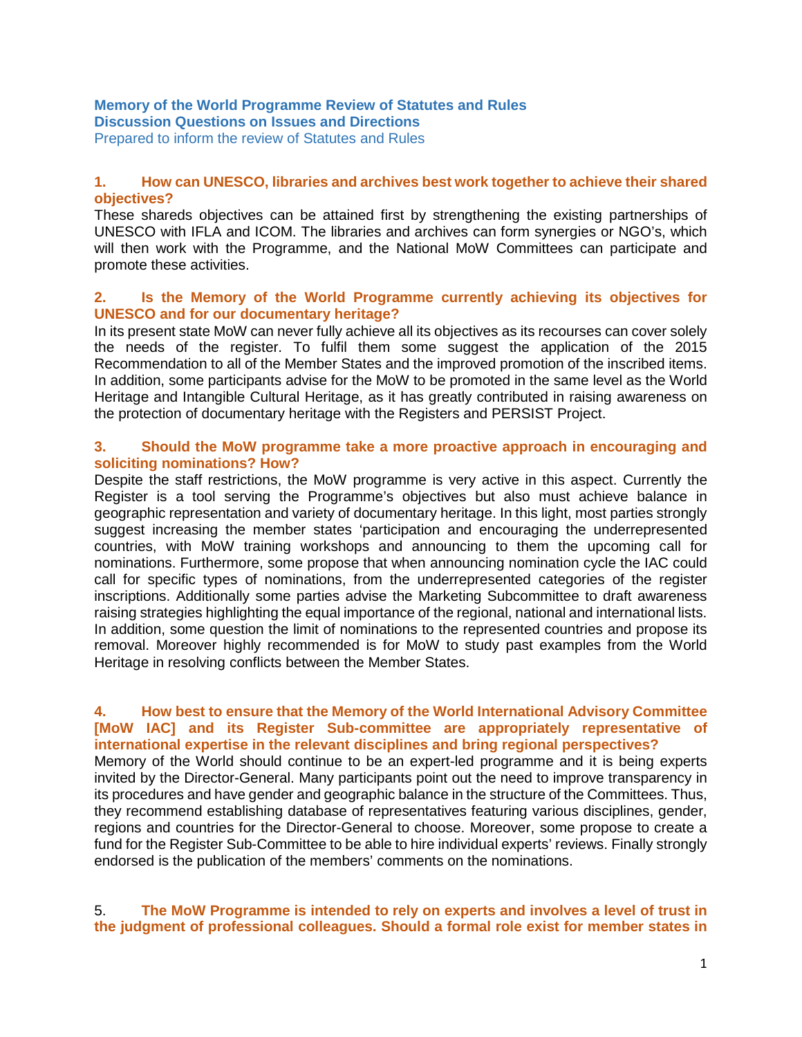# **Memory of the World Programme Review of Statutes and Rules Discussion Questions on Issues and Directions**

Prepared to inform the review of Statutes and Rules

# **1. How can UNESCO, libraries and archives best work together to achieve their shared objectives?**

These shareds objectives can be attained first by strengthening the existing partnerships of UNESCO with IFLA and ICOM. The libraries and archives can form synergies or NGO's, which will then work with the Programme, and the National MoW Committees can participate and promote these activities.

# **2. Is the Memory of the World Programme currently achieving its objectives for UNESCO and for our documentary heritage?**

In its present state MoW can never fully achieve all its objectives as its recourses can cover solely the needs of the register. To fulfil them some suggest the application of the 2015 Recommendation to all of the Member States and the improved promotion of the inscribed items. In addition, some participants advise for the MoW to be promoted in the same level as the World Heritage and Intangible Cultural Heritage, as it has greatly contributed in raising awareness on the protection of documentary heritage with the Registers and PERSIST Project.

#### **3. Should the MoW programme take a more proactive approach in encouraging and soliciting nominations? How?**

Despite the staff restrictions, the MoW programme is very active in this aspect. Currently the Register is a tool serving the Programme's objectives but also must achieve balance in geographic representation and variety of documentary heritage. In this light, most parties strongly suggest increasing the member states 'participation and encouraging the underrepresented countries, with MoW training workshops and announcing to them the upcoming call for nominations. Furthermore, some propose that when announcing nomination cycle the IAC could call for specific types of nominations, from the underrepresented categories of the register inscriptions. Additionally some parties advise the Marketing Subcommittee to draft awareness raising strategies highlighting the equal importance of the regional, national and international lists. In addition, some question the limit of nominations to the represented countries and propose its removal. Moreover highly recommended is for MoW to study past examples from the World Heritage in resolving conflicts between the Member States.

## **4. How best to ensure that the Memory of the World International Advisory Committee [MoW IAC] and its Register Sub-committee are appropriately representative of international expertise in the relevant disciplines and bring regional perspectives?**

Memory of the World should continue to be an expert-led programme and it is being experts invited by the Director-General. Many participants point out the need to improve transparency in its procedures and have gender and geographic balance in the structure of the Committees. Thus, they recommend establishing database of representatives featuring various disciplines, gender, regions and countries for the Director-General to choose. Moreover, some propose to create a fund for the Register Sub-Committee to be able to hire individual experts' reviews. Finally strongly endorsed is the publication of the members' comments on the nominations.

# 5. **The MoW Programme is intended to rely on experts and involves a level of trust in the judgment of professional colleagues. Should a formal role exist for member states in**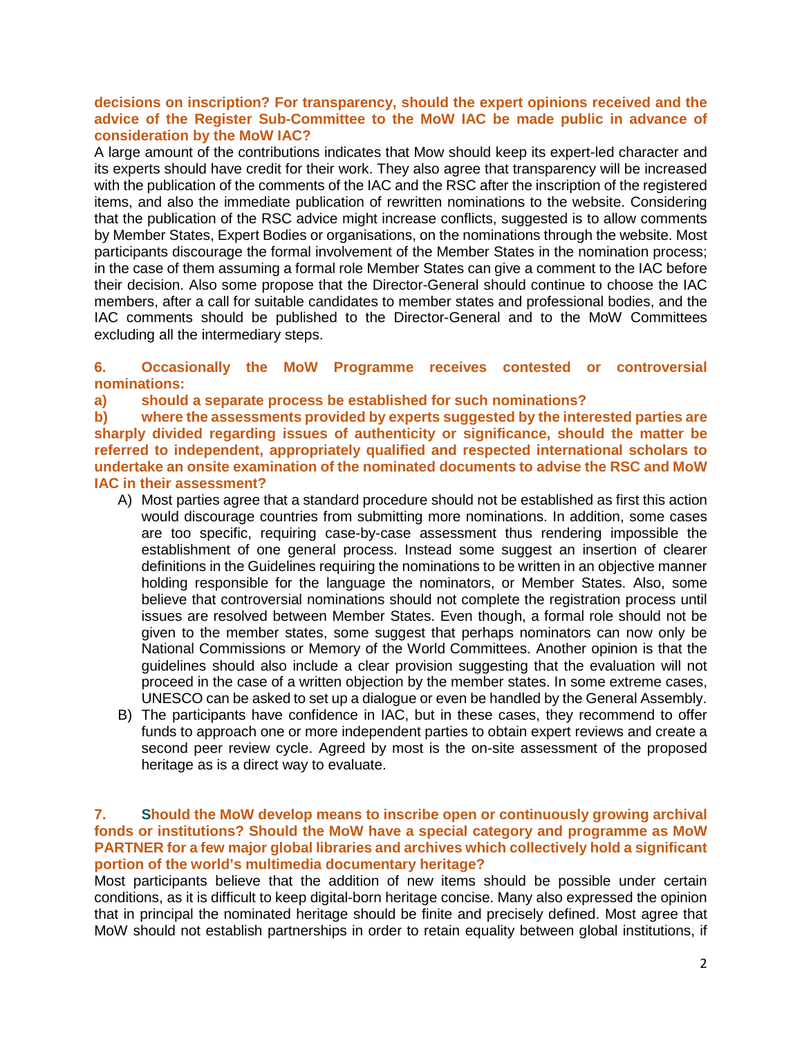# **decisions on inscription? For transparency, should the expert opinions received and the advice of the Register Sub-Committee to the MoW IAC be made public in advance of consideration by the MoW IAC?**

A large amount of the contributions indicates that Mow should keep its expert-led character and its experts should have credit for their work. They also agree that transparency will be increased with the publication of the comments of the IAC and the RSC after the inscription of the registered items, and also the immediate publication of rewritten nominations to the website. Considering that the publication of the RSC advice might increase conflicts, suggested is to allow comments by Member States, Expert Bodies or organisations, on the nominations through the website. Most participants discourage the formal involvement of the Member States in the nomination process; in the case of them assuming a formal role Member States can give a comment to the IAC before their decision. Also some propose that the Director-General should continue to choose the IAC members, after a call for suitable candidates to member states and professional bodies, and the IAC comments should be published to the Director-General and to the MoW Committees excluding all the intermediary steps.

# **6. Occasionally the MoW Programme receives contested or controversial nominations:**

**a) should a separate process be established for such nominations?**

**b) where the assessments provided by experts suggested by the interested parties are sharply divided regarding issues of authenticity or significance, should the matter be referred to independent, appropriately qualified and respected international scholars to undertake an onsite examination of the nominated documents to advise the RSC and MoW IAC in their assessment?**

- A) Most parties agree that a standard procedure should not be established as first this action would discourage countries from submitting more nominations. In addition, some cases are too specific, requiring case-by-case assessment thus rendering impossible the establishment of one general process. Instead some suggest an insertion of clearer definitions in the Guidelines requiring the nominations to be written in an objective manner holding responsible for the language the nominators, or Member States. Also, some believe that controversial nominations should not complete the registration process until issues are resolved between Member States. Even though, a formal role should not be given to the member states, some suggest that perhaps nominators can now only be National Commissions or Memory of the World Committees. Another opinion is that the guidelines should also include a clear provision suggesting that the evaluation will not proceed in the case of a written objection by the member states. In some extreme cases, UNESCO can be asked to set up a dialogue or even be handled by the General Assembly.
- B) The participants have confidence in IAC, but in these cases, they recommend to offer funds to approach one or more independent parties to obtain expert reviews and create a second peer review cycle. Agreed by most is the on-site assessment of the proposed heritage as is a direct way to evaluate.

# **7. Should the MoW develop means to inscribe open or continuously growing archival fonds or institutions? Should the MoW have a special category and programme as MoW PARTNER for a few major global libraries and archives which collectively hold a significant portion of the world's multimedia documentary heritage?**

Most participants believe that the addition of new items should be possible under certain conditions, as it is difficult to keep digital-born heritage concise. Many also expressed the opinion that in principal the nominated heritage should be finite and precisely defined. Most agree that MoW should not establish partnerships in order to retain equality between global institutions, if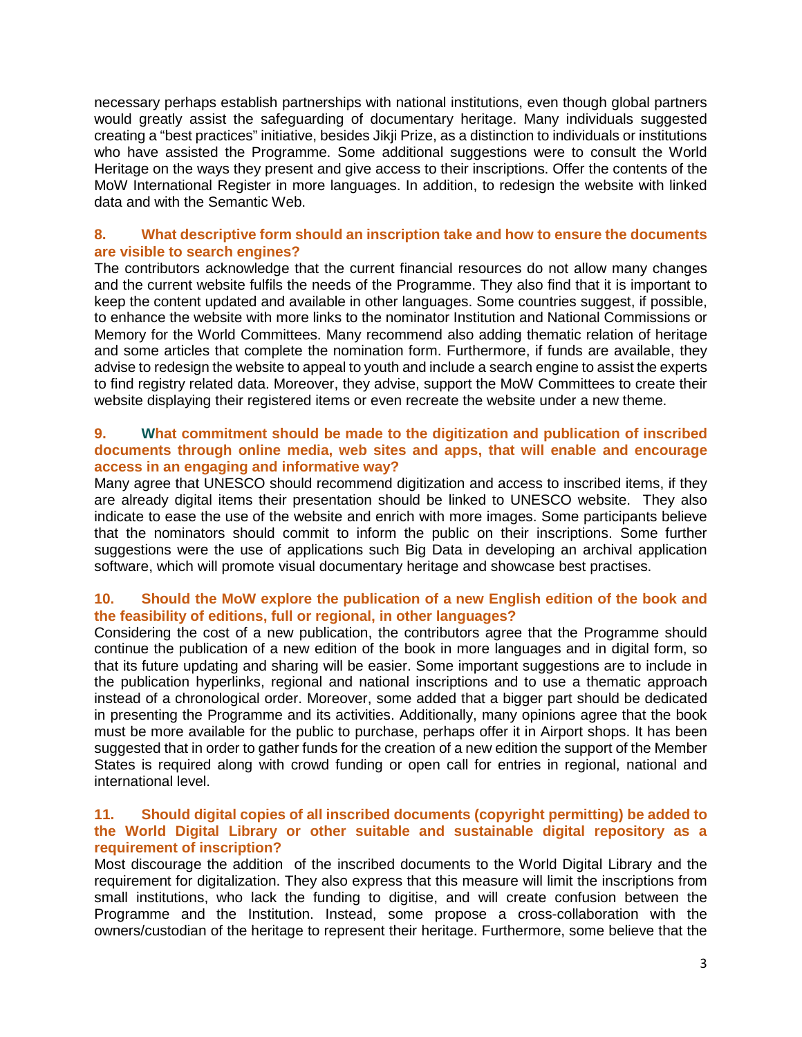necessary perhaps establish partnerships with national institutions, even though global partners would greatly assist the safeguarding of documentary heritage. Many individuals suggested creating a "best practices" initiative, besides Jikji Prize, as a distinction to individuals or institutions who have assisted the Programme. Some additional suggestions were to consult the World Heritage on the ways they present and give access to their inscriptions. Offer the contents of the MoW International Register in more languages. In addition, to redesign the website with linked data and with the Semantic Web.

# **8. What descriptive form should an inscription take and how to ensure the documents are visible to search engines?**

The contributors acknowledge that the current financial resources do not allow many changes and the current website fulfils the needs of the Programme. They also find that it is important to keep the content updated and available in other languages. Some countries suggest, if possible, to enhance the website with more links to the nominator Institution and National Commissions or Memory for the World Committees. Many recommend also adding thematic relation of heritage and some articles that complete the nomination form. Furthermore, if funds are available, they advise to redesign the website to appeal to youth and include a search engine to assist the experts to find registry related data. Moreover, they advise, support the MoW Committees to create their website displaying their registered items or even recreate the website under a new theme.

## **9. What commitment should be made to the digitization and publication of inscribed documents through online media, web sites and apps, that will enable and encourage access in an engaging and informative way?**

Many agree that UNESCO should recommend digitization and access to inscribed items, if they are already digital items their presentation should be linked to UNESCO website. They also indicate to ease the use of the website and enrich with more images. Some participants believe that the nominators should commit to inform the public on their inscriptions. Some further suggestions were the use of applications such Big Data in developing an archival application software, which will promote visual documentary heritage and showcase best practises.

# **10. Should the MoW explore the publication of a new English edition of the book and the feasibility of editions, full or regional, in other languages?**

Considering the cost of a new publication, the contributors agree that the Programme should continue the publication of a new edition of the book in more languages and in digital form, so that its future updating and sharing will be easier. Some important suggestions are to include in the publication hyperlinks, regional and national inscriptions and to use a thematic approach instead of a chronological order. Moreover, some added that a bigger part should be dedicated in presenting the Programme and its activities. Additionally, many opinions agree that the book must be more available for the public to purchase, perhaps offer it in Airport shops. It has been suggested that in order to gather funds for the creation of a new edition the support of the Member States is required along with crowd funding or open call for entries in regional, national and international level.

## **11. Should digital copies of all inscribed documents (copyright permitting) be added to the World Digital Library or other suitable and sustainable digital repository as a requirement of inscription?**

Most discourage the addition of the inscribed documents to the World Digital Library and the requirement for digitalization. They also express that this measure will limit the inscriptions from small institutions, who lack the funding to digitise, and will create confusion between the Programme and the Institution. Instead, some propose a cross-collaboration with the owners/custodian of the heritage to represent their heritage. Furthermore, some believe that the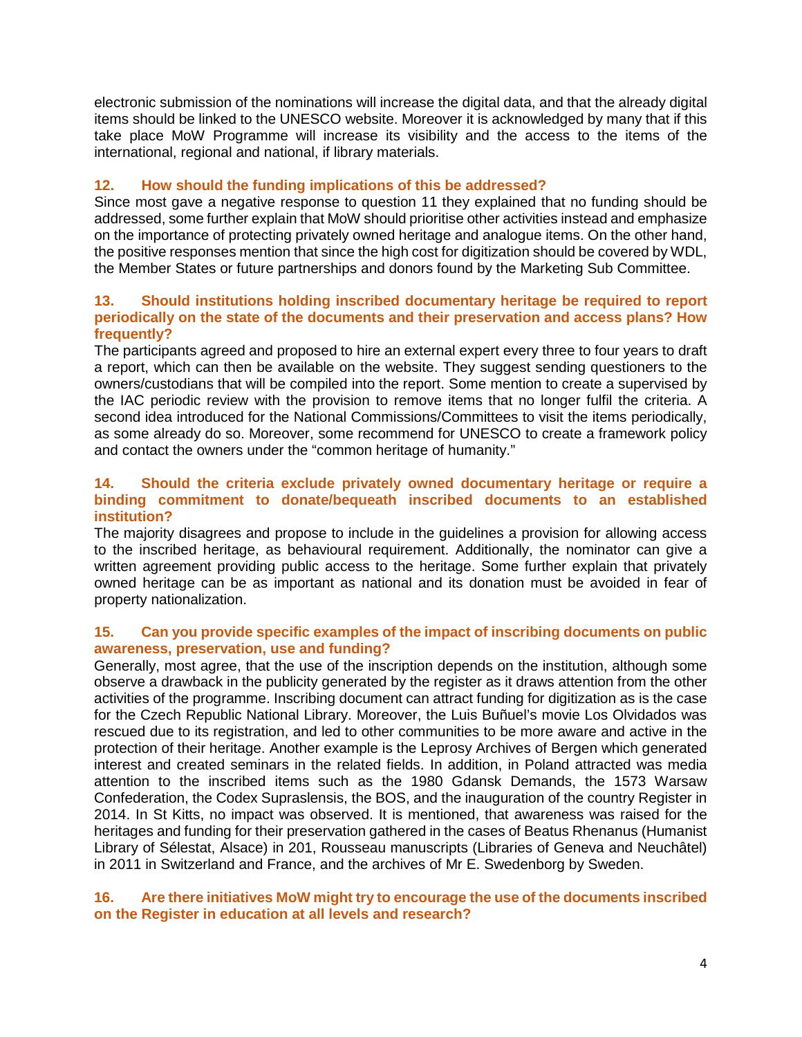electronic submission of the nominations will increase the digital data, and that the already digital items should be linked to the UNESCO website. Moreover it is acknowledged by many that if this take place MoW Programme will increase its visibility and the access to the items of the international, regional and national, if library materials.

# **12. How should the funding implications of this be addressed?**

Since most gave a negative response to question 11 they explained that no funding should be addressed, some further explain that MoW should prioritise other activities instead and emphasize on the importance of protecting privately owned heritage and analogue items. On the other hand, the positive responses mention that since the high cost for digitization should be covered by WDL, the Member States or future partnerships and donors found by the Marketing Sub Committee.

## **13. Should institutions holding inscribed documentary heritage be required to report periodically on the state of the documents and their preservation and access plans? How frequently?**

The participants agreed and proposed to hire an external expert every three to four years to draft a report, which can then be available on the website. They suggest sending questioners to the owners/custodians that will be compiled into the report. Some mention to create a supervised by the IAC periodic review with the provision to remove items that no longer fulfil the criteria. A second idea introduced for the National Commissions/Committees to visit the items periodically, as some already do so. Moreover, some recommend for UNESCO to create a framework policy and contact the owners under the "common heritage of humanity."

# **14. Should the criteria exclude privately owned documentary heritage or require a binding commitment to donate/bequeath inscribed documents to an established institution?**

The majority disagrees and propose to include in the guidelines a provision for allowing access to the inscribed heritage, as behavioural requirement. Additionally, the nominator can give a written agreement providing public access to the heritage. Some further explain that privately owned heritage can be as important as national and its donation must be avoided in fear of property nationalization.

# **15. Can you provide specific examples of the impact of inscribing documents on public awareness, preservation, use and funding?**

Generally, most agree, that the use of the inscription depends on the institution, although some observe a drawback in the publicity generated by the register as it draws attention from the other activities of the programme. Inscribing document can attract funding for digitization as is the case for the Czech Republic National Library. Moreover, the Luis Buñuel's movie Los Olvidados was rescued due to its registration, and led to other communities to be more aware and active in the protection of their heritage. Another example is the Leprosy Archives of Bergen which generated interest and created seminars in the related fields. In addition, in Poland attracted was media attention to the inscribed items such as the 1980 Gdansk Demands, the 1573 Warsaw Confederation, the Codex Supraslensis, the BOS, and the inauguration of the country Register in 2014. In St Kitts, no impact was observed. It is mentioned, that awareness was raised for the heritages and funding for their preservation gathered in the cases of Beatus Rhenanus (Humanist Library of Sélestat, Alsace) in 201, Rousseau manuscripts (Libraries of Geneva and Neuchâtel) in 2011 in Switzerland and France, and the archives of Mr E. Swedenborg by Sweden.

# **16. Are there initiatives MoW might try to encourage the use of the documents inscribed on the Register in education at all levels and research?**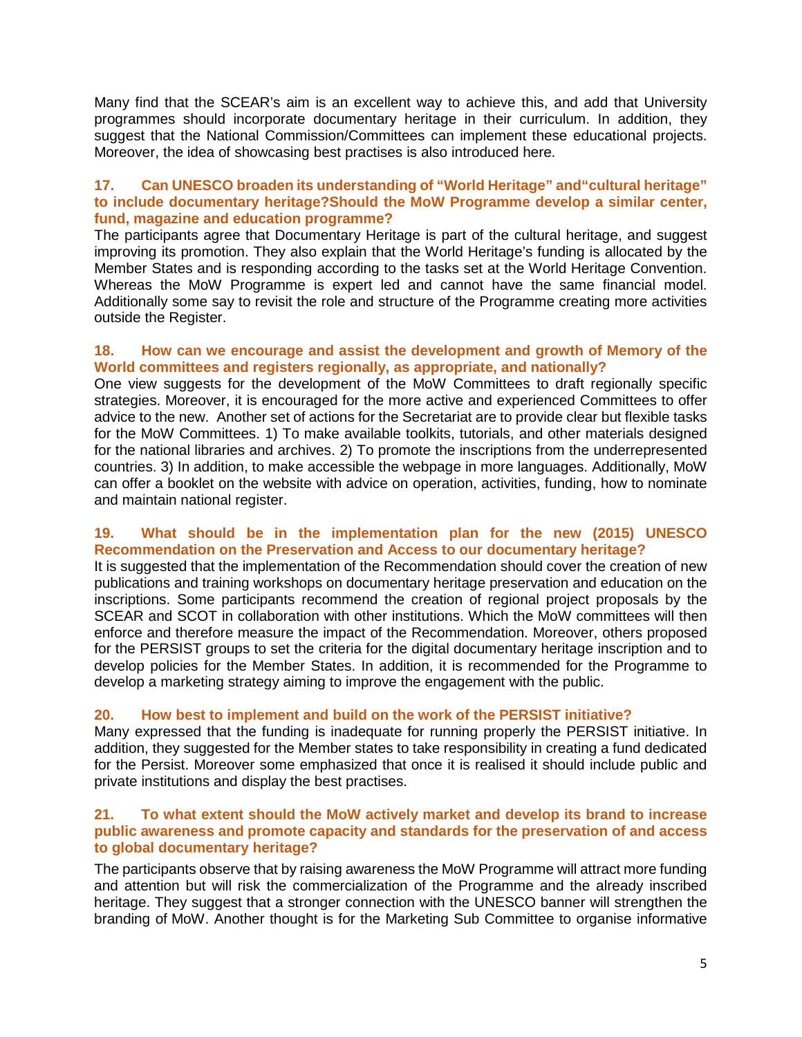Many find that the SCEAR's aim is an excellent way to achieve this, and add that University programmes should incorporate documentary heritage in their curriculum. In addition, they suggest that the National Commission/Committees can implement these educational projects. Moreover, the idea of showcasing best practises is also introduced here.

# **17. Can UNESCO broaden its understanding of "World Heritage" and"cultural heritage" to include documentary heritage?Should the MoW Programme develop a similar center, fund, magazine and education programme?**

The participants agree that Documentary Heritage is part of the cultural heritage, and suggest improving its promotion. They also explain that the World Heritage's funding is allocated by the Member States and is responding according to the tasks set at the World Heritage Convention. Whereas the MoW Programme is expert led and cannot have the same financial model. Additionally some say to revisit the role and structure of the Programme creating more activities outside the Register.

# **18. How can we encourage and assist the development and growth of Memory of the World committees and registers regionally, as appropriate, and nationally?**

One view suggests for the development of the MoW Committees to draft regionally specific strategies. Moreover, it is encouraged for the more active and experienced Committees to offer advice to the new. Another set of actions for the Secretariat are to provide clear but flexible tasks for the MoW Committees. 1) To make available toolkits, tutorials, and other materials designed for the national libraries and archives. 2) To promote the inscriptions from the underrepresented countries. 3) In addition, to make accessible the webpage in more languages. Additionally, MoW can offer a booklet on the website with advice on operation, activities, funding, how to nominate and maintain national register.

# **19. What should be in the implementation plan for the new (2015) UNESCO Recommendation on the Preservation and Access to our documentary heritage?**

It is suggested that the implementation of the Recommendation should cover the creation of new publications and training workshops on documentary heritage preservation and education on the inscriptions. Some participants recommend the creation of regional project proposals by the SCEAR and SCOT in collaboration with other institutions. Which the MoW committees will then enforce and therefore measure the impact of the Recommendation. Moreover, others proposed for the PERSIST groups to set the criteria for the digital documentary heritage inscription and to develop policies for the Member States. In addition, it is recommended for the Programme to develop a marketing strategy aiming to improve the engagement with the public.

# **20. How best to implement and build on the work of the PERSIST initiative?**

Many expressed that the funding is inadequate for running properly the PERSIST initiative. In addition, they suggested for the Member states to take responsibility in creating a fund dedicated for the Persist. Moreover some emphasized that once it is realised it should include public and private institutions and display the best practises.

## **21. To what extent should the MoW actively market and develop its brand to increase public awareness and promote capacity and standards for the preservation of and access to global documentary heritage?**

The participants observe that by raising awareness the MoW Programme will attract more funding and attention but will risk the commercialization of the Programme and the already inscribed heritage. They suggest that a stronger connection with the UNESCO banner will strengthen the branding of MoW. Another thought is for the Marketing Sub Committee to organise informative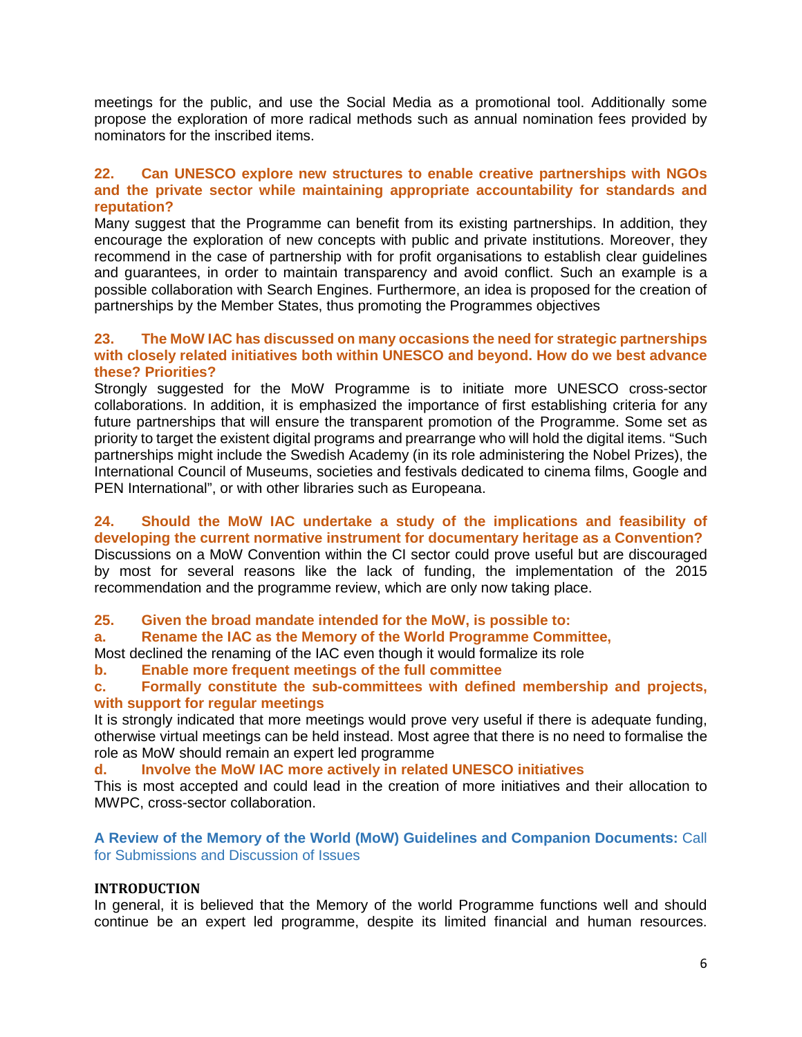meetings for the public, and use the Social Media as a promotional tool. Additionally some propose the exploration of more radical methods such as annual nomination fees provided by nominators for the inscribed items.

# **22. Can UNESCO explore new structures to enable creative partnerships with NGOs and the private sector while maintaining appropriate accountability for standards and reputation?**

Many suggest that the Programme can benefit from its existing partnerships. In addition, they encourage the exploration of new concepts with public and private institutions. Moreover, they recommend in the case of partnership with for profit organisations to establish clear guidelines and guarantees, in order to maintain transparency and avoid conflict. Such an example is a possible collaboration with Search Engines. Furthermore, an idea is proposed for the creation of partnerships by the Member States, thus promoting the Programmes objectives

# **23. The MoW IAC has discussed on many occasions the need for strategic partnerships with closely related initiatives both within UNESCO and beyond. How do we best advance these? Priorities?**

Strongly suggested for the MoW Programme is to initiate more UNESCO cross-sector collaborations. In addition, it is emphasized the importance of first establishing criteria for any future partnerships that will ensure the transparent promotion of the Programme. Some set as priority to target the existent digital programs and prearrange who will hold the digital items. "Such partnerships might include the Swedish Academy (in its role administering the Nobel Prizes), the International Council of Museums, societies and festivals dedicated to cinema films, Google and PEN International", or with other libraries such as Europeana.

# **24. Should the MoW IAC undertake a study of the implications and feasibility of developing the current normative instrument for documentary heritage as a Convention?**

Discussions on a MoW Convention within the CI sector could prove useful but are discouraged by most for several reasons like the lack of funding, the implementation of the 2015 recommendation and the programme review, which are only now taking place.

# **25. Given the broad mandate intended for the MoW, is possible to:**

# **a. Rename the IAC as the Memory of the World Programme Committee,**

Most declined the renaming of the IAC even though it would formalize its role

# **b. Enable more frequent meetings of the full committee**

# **c. Formally constitute the sub-committees with defined membership and projects, with support for regular meetings**

It is strongly indicated that more meetings would prove very useful if there is adequate funding, otherwise virtual meetings can be held instead. Most agree that there is no need to formalise the role as MoW should remain an expert led programme

#### **d. Involve the MoW IAC more actively in related UNESCO initiatives**

This is most accepted and could lead in the creation of more initiatives and their allocation to MWPC, cross-sector collaboration.

# **A Review of the Memory of the World (MoW) Guidelines and Companion Documents:** Call for Submissions and Discussion of Issues

# **INTRODUCTION**

In general, it is believed that the Memory of the world Programme functions well and should continue be an expert led programme, despite its limited financial and human resources.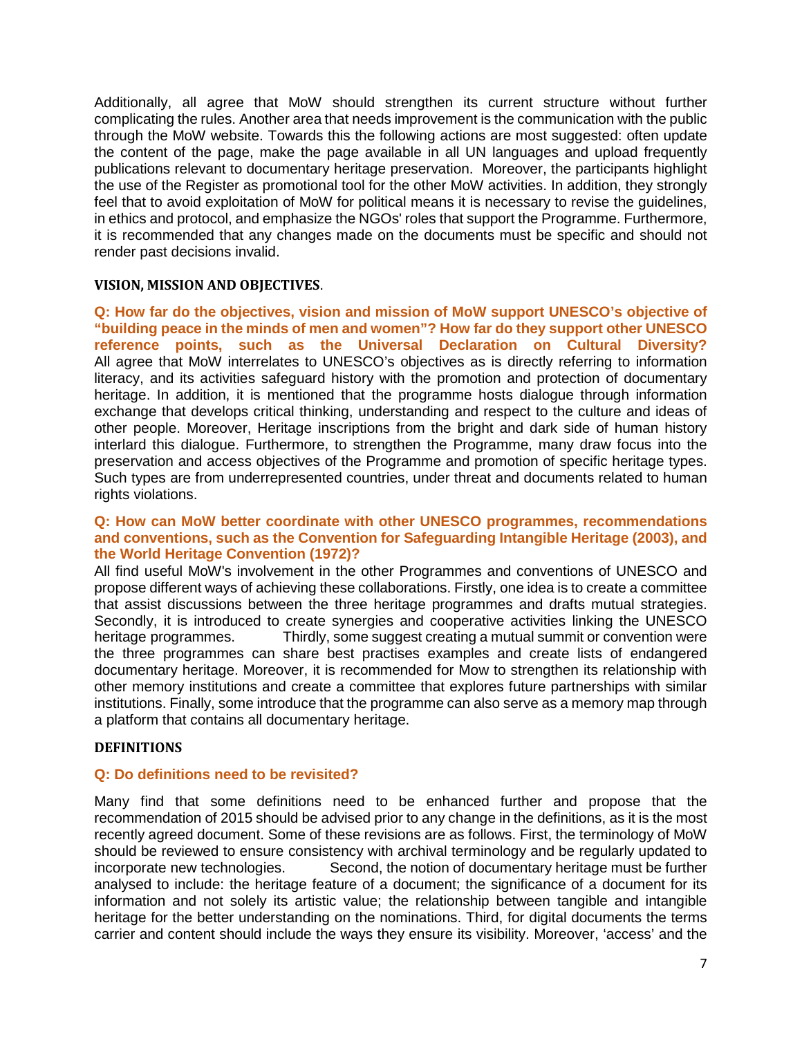Additionally, all agree that MoW should strengthen its current structure without further complicating the rules. Another area that needs improvement is the communication with the public through the MoW website. Towards this the following actions are most suggested: often update the content of the page, make the page available in all UN languages and upload frequently publications relevant to documentary heritage preservation. Moreover, the participants highlight the use of the Register as promotional tool for the other MoW activities. In addition, they strongly feel that to avoid exploitation of MoW for political means it is necessary to revise the guidelines, in ethics and protocol, and emphasize the NGOs' roles that support the Programme. Furthermore, it is recommended that any changes made on the documents must be specific and should not render past decisions invalid.

# **VISION, MISSION AND OBJECTIVES**.

**Q: How far do the objectives, vision and mission of MoW support UNESCO's objective of "building peace in the minds of men and women"? How far do they support other UNESCO reference points, such as the Universal Declaration on Cultural Diversity?** All agree that MoW interrelates to UNESCO's objectives as is directly referring to information literacy, and its activities safeguard history with the promotion and protection of documentary heritage. In addition, it is mentioned that the programme hosts dialogue through information exchange that develops critical thinking, understanding and respect to the culture and ideas of other people. Moreover, Heritage inscriptions from the bright and dark side of human history interlard this dialogue. Furthermore, to strengthen the Programme, many draw focus into the preservation and access objectives of the Programme and promotion of specific heritage types. Such types are from underrepresented countries, under threat and documents related to human rights violations.

# **Q: How can MoW better coordinate with other UNESCO programmes, recommendations and conventions, such as the Convention for Safeguarding Intangible Heritage (2003), and the World Heritage Convention (1972)?**

All find useful MoW's involvement in the other Programmes and conventions of UNESCO and propose different ways of achieving these collaborations. Firstly, one idea is to create a committee that assist discussions between the three heritage programmes and drafts mutual strategies. Secondly, it is introduced to create synergies and cooperative activities linking the UNESCO heritage programmes. Thirdly, some suggest creating a mutual summit or convention were the three programmes can share best practises examples and create lists of endangered documentary heritage. Moreover, it is recommended for Mow to strengthen its relationship with other memory institutions and create a committee that explores future partnerships with similar institutions. Finally, some introduce that the programme can also serve as a memory map through a platform that contains all documentary heritage.

#### **DEFINITIONS**

# **Q: Do definitions need to be revisited?**

Many find that some definitions need to be enhanced further and propose that the recommendation of 2015 should be advised prior to any change in the definitions, as it is the most recently agreed document. Some of these revisions are as follows. First, the terminology of MoW should be reviewed to ensure consistency with archival terminology and be regularly updated to incorporate new technologies. Second, the notion of documentary heritage must be further analysed to include: the heritage feature of a document; the significance of a document for its information and not solely its artistic value; the relationship between tangible and intangible heritage for the better understanding on the nominations. Third, for digital documents the terms carrier and content should include the ways they ensure its visibility. Moreover, 'access' and the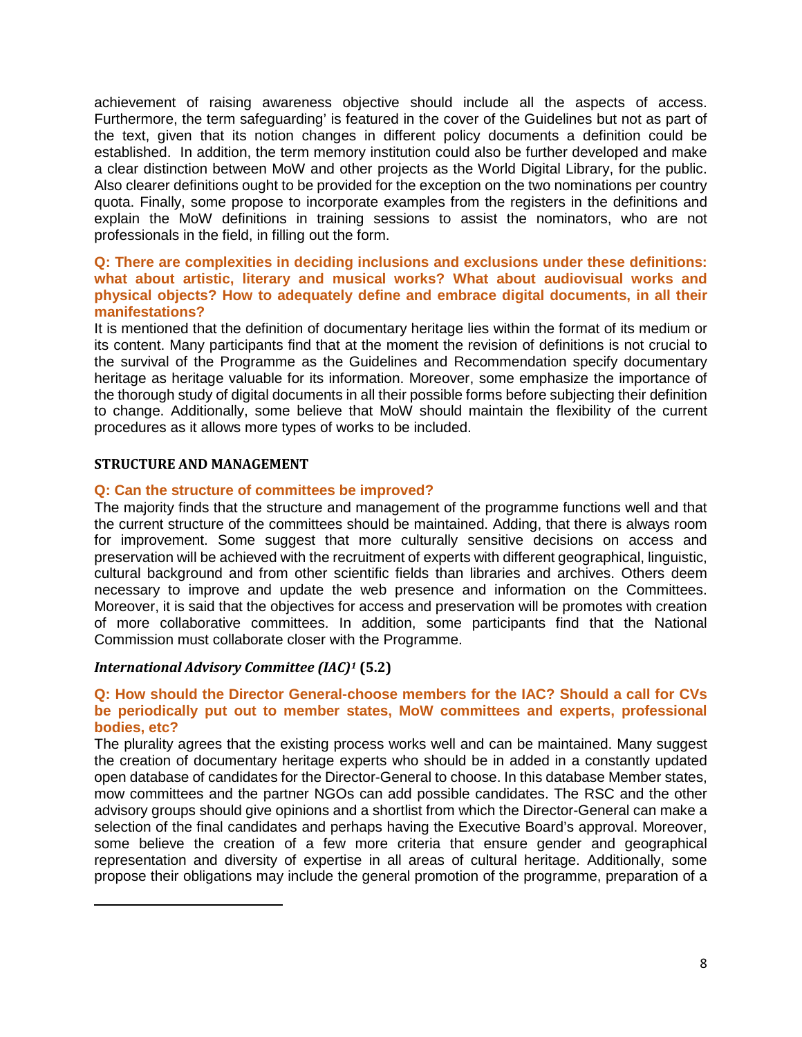achievement of raising awareness objective should include all the aspects of access. Furthermore, the term safeguarding' is featured in the cover of the Guidelines but not as part of the text, given that its notion changes in different policy documents a definition could be established. In addition, the term memory institution could also be further developed and make a clear distinction between MoW and other projects as the World Digital Library, for the public. Also clearer definitions ought to be provided for the exception on the two nominations per country quota. Finally, some propose to incorporate examples from the registers in the definitions and explain the MoW definitions in training sessions to assist the nominators, who are not professionals in the field, in filling out the form.

## **Q: There are complexities in deciding inclusions and exclusions under these definitions: what about artistic, literary and musical works? What about audiovisual works and physical objects? How to adequately define and embrace digital documents, in all their manifestations?**

It is mentioned that the definition of documentary heritage lies within the format of its medium or its content. Many participants find that at the moment the revision of definitions is not crucial to the survival of the Programme as the Guidelines and Recommendation specify documentary heritage as heritage valuable for its information. Moreover, some emphasize the importance of the thorough study of digital documents in all their possible forms before subjecting their definition to change. Additionally, some believe that MoW should maintain the flexibility of the current procedures as it allows more types of works to be included.

# **STRUCTURE AND MANAGEMENT**

<span id="page-7-0"></span>l

# **Q: Can the structure of committees be improved?**

The majority finds that the structure and management of the programme functions well and that the current structure of the committees should be maintained. Adding, that there is always room for improvement. Some suggest that more culturally sensitive decisions on access and preservation will be achieved with the recruitment of experts with different geographical, linguistic, cultural background and from other scientific fields than libraries and archives. Others deem necessary to improve and update the web presence and information on the Committees. Moreover, it is said that the objectives for access and preservation will be promotes with creation of more collaborative committees. In addition, some participants find that the National Commission must collaborate closer with the Programme.

#### *International Advisory Committee (IAC)[1](#page-7-0)* **(5.2)**

# **Q: How should the Director General-choose members for the IAC? Should a call for CVs be periodically put out to member states, MoW committees and experts, professional bodies, etc?**

The plurality agrees that the existing process works well and can be maintained. Many suggest the creation of documentary heritage experts who should be in added in a constantly updated open database of candidates for the Director-General to choose. In this database Member states, mow committees and the partner NGOs can add possible candidates. The RSC and the other advisory groups should give opinions and a shortlist from which the Director-General can make a selection of the final candidates and perhaps having the Executive Board's approval. Moreover, some believe the creation of a few more criteria that ensure gender and geographical representation and diversity of expertise in all areas of cultural heritage. Additionally, some propose their obligations may include the general promotion of the programme, preparation of a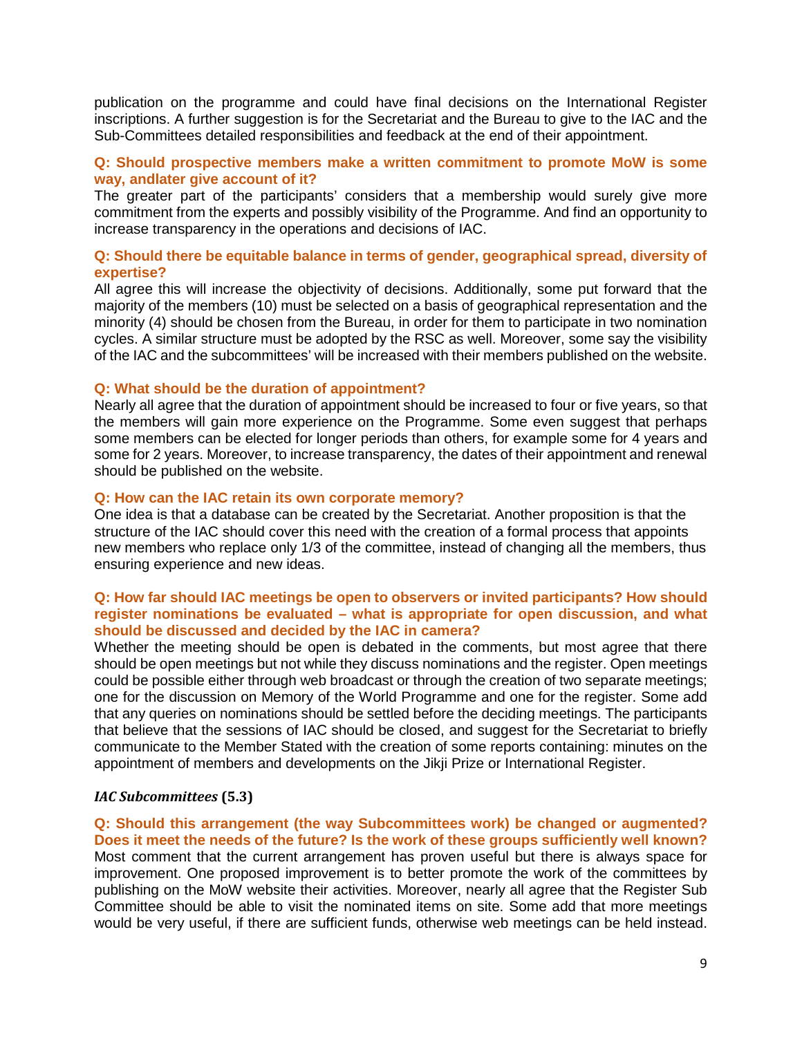publication on the programme and could have final decisions on the International Register inscriptions. A further suggestion is for the Secretariat and the Bureau to give to the IAC and the Sub-Committees detailed responsibilities and feedback at the end of their appointment.

# **Q: Should prospective members make a written commitment to promote MoW is some way, andlater give account of it?**

The greater part of the participants' considers that a membership would surely give more commitment from the experts and possibly visibility of the Programme. And find an opportunity to increase transparency in the operations and decisions of IAC.

## **Q: Should there be equitable balance in terms of gender, geographical spread, diversity of expertise?**

All agree this will increase the objectivity of decisions. Additionally, some put forward that the majority of the members (10) must be selected on a basis of geographical representation and the minority (4) should be chosen from the Bureau, in order for them to participate in two nomination cycles. A similar structure must be adopted by the RSC as well. Moreover, some say the visibility of the IAC and the subcommittees' will be increased with their members published on the website.

#### **Q: What should be the duration of appointment?**

Nearly all agree that the duration of appointment should be increased to four or five years, so that the members will gain more experience on the Programme. Some even suggest that perhaps some members can be elected for longer periods than others, for example some for 4 years and some for 2 years. Moreover, to increase transparency, the dates of their appointment and renewal should be published on the website.

#### **Q: How can the IAC retain its own corporate memory?**

One idea is that a database can be created by the Secretariat. Another proposition is that the structure of the IAC should cover this need with the creation of a formal process that appoints new members who replace only 1/3 of the committee, instead of changing all the members, thus ensuring experience and new ideas.

## **Q: How far should IAC meetings be open to observers or invited participants? How should register nominations be evaluated – what is appropriate for open discussion, and what should be discussed and decided by the IAC in camera?**

Whether the meeting should be open is debated in the comments, but most agree that there should be open meetings but not while they discuss nominations and the register. Open meetings could be possible either through web broadcast or through the creation of two separate meetings; one for the discussion on Memory of the World Programme and one for the register. Some add that any queries on nominations should be settled before the deciding meetings. The participants that believe that the sessions of IAC should be closed, and suggest for the Secretariat to briefly communicate to the Member Stated with the creation of some reports containing: minutes on the appointment of members and developments on the Jikji Prize or International Register.

# *IAC Subcommittees* **(5.3)**

**Q: Should this arrangement (the way Subcommittees work) be changed or augmented? Does it meet the needs of the future? Is the work of these groups sufficiently well known?** Most comment that the current arrangement has proven useful but there is always space for improvement. One proposed improvement is to better promote the work of the committees by publishing on the MoW website their activities. Moreover, nearly all agree that the Register Sub Committee should be able to visit the nominated items on site. Some add that more meetings would be very useful, if there are sufficient funds, otherwise web meetings can be held instead.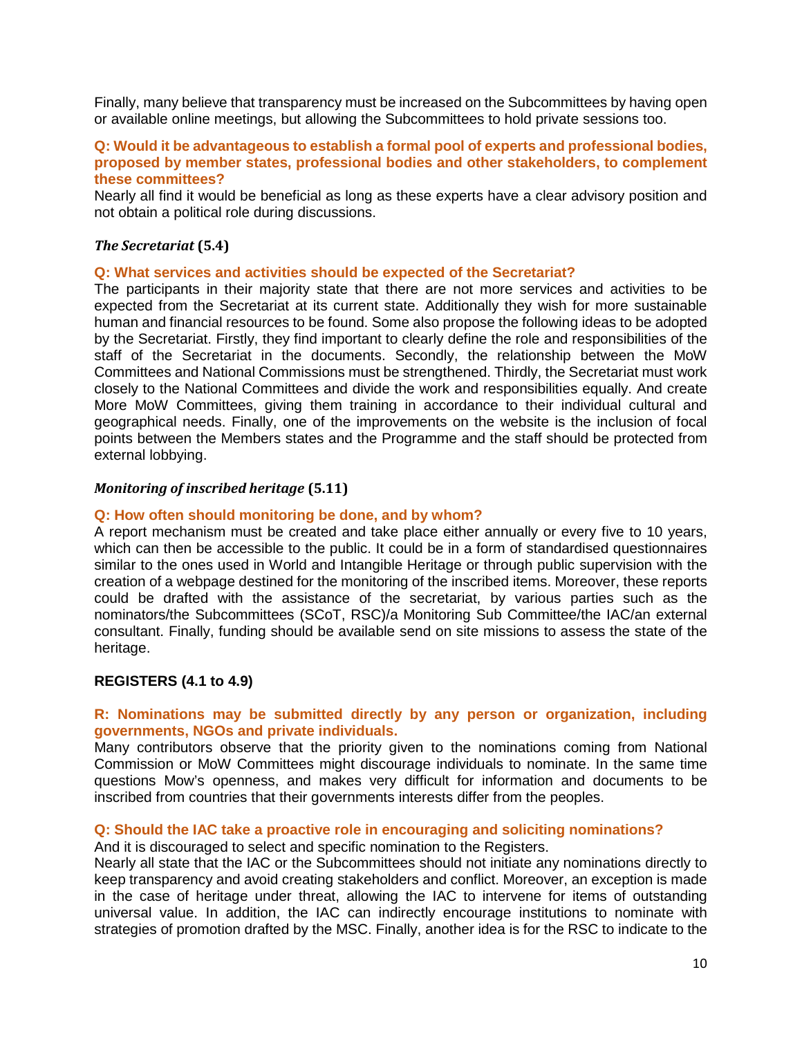Finally, many believe that transparency must be increased on the Subcommittees by having open or available online meetings, but allowing the Subcommittees to hold private sessions too.

#### **Q: Would it be advantageous to establish a formal pool of experts and professional bodies, proposed by member states, professional bodies and other stakeholders, to complement these committees?**

Nearly all find it would be beneficial as long as these experts have a clear advisory position and not obtain a political role during discussions.

# *The Secretariat* **(5.4)**

#### **Q: What services and activities should be expected of the Secretariat?**

The participants in their majority state that there are not more services and activities to be expected from the Secretariat at its current state. Additionally they wish for more sustainable human and financial resources to be found. Some also propose the following ideas to be adopted by the Secretariat. Firstly, they find important to clearly define the role and responsibilities of the staff of the Secretariat in the documents. Secondly, the relationship between the MoW Committees and National Commissions must be strengthened. Thirdly, the Secretariat must work closely to the National Committees and divide the work and responsibilities equally. And create More MoW Committees, giving them training in accordance to their individual cultural and geographical needs. Finally, one of the improvements on the website is the inclusion of focal points between the Members states and the Programme and the staff should be protected from external lobbying.

#### *Monitoring of inscribed heritage* **(5.11)**

#### **Q: How often should monitoring be done, and by whom?**

A report mechanism must be created and take place either annually or every five to 10 years, which can then be accessible to the public. It could be in a form of standardised questionnaires similar to the ones used in World and Intangible Heritage or through public supervision with the creation of a webpage destined for the monitoring of the inscribed items. Moreover, these reports could be drafted with the assistance of the secretariat, by various parties such as the nominators/the Subcommittees (SCoT, RSC)/a Monitoring Sub Committee/the IAC/an external consultant. Finally, funding should be available send on site missions to assess the state of the heritage.

#### **REGISTERS (4.1 to 4.9)**

# **R: Nominations may be submitted directly by any person or organization, including governments, NGOs and private individuals.**

Many contributors observe that the priority given to the nominations coming from National Commission or MoW Committees might discourage individuals to nominate. In the same time questions Mow's openness, and makes very difficult for information and documents to be inscribed from countries that their governments interests differ from the peoples.

#### **Q: Should the IAC take a proactive role in encouraging and soliciting nominations?**

And it is discouraged to select and specific nomination to the Registers.

Nearly all state that the IAC or the Subcommittees should not initiate any nominations directly to keep transparency and avoid creating stakeholders and conflict. Moreover, an exception is made in the case of heritage under threat, allowing the IAC to intervene for items of outstanding universal value. In addition, the IAC can indirectly encourage institutions to nominate with strategies of promotion drafted by the MSC. Finally, another idea is for the RSC to indicate to the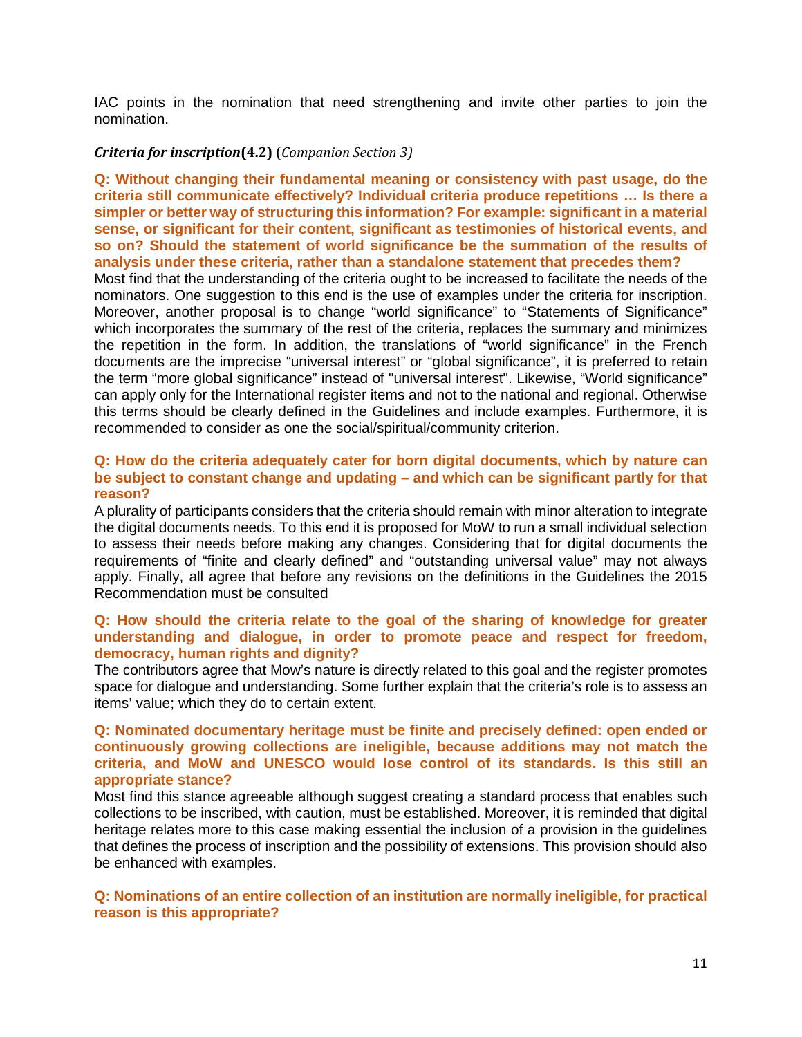IAC points in the nomination that need strengthening and invite other parties to join the nomination.

# *Criteria for inscription***(4.2)** (*Companion Section 3)*

**Q: Without changing their fundamental meaning or consistency with past usage, do the criteria still communicate effectively? Individual criteria produce repetitions … Is there a simpler or better way of structuring this information? For example: significant in a material sense, or significant for their content, significant as testimonies of historical events, and so on? Should the statement of world significance be the summation of the results of analysis under these criteria, rather than a standalone statement that precedes them?**

Most find that the understanding of the criteria ought to be increased to facilitate the needs of the nominators. One suggestion to this end is the use of examples under the criteria for inscription. Moreover, another proposal is to change "world significance" to "Statements of Significance" which incorporates the summary of the rest of the criteria, replaces the summary and minimizes the repetition in the form. In addition, the translations of "world significance" in the French documents are the imprecise "universal interest" or "global significance", it is preferred to retain the term "more global significance" instead of "universal interest". Likewise, "World significance" can apply only for the International register items and not to the national and regional. Otherwise this terms should be clearly defined in the Guidelines and include examples. Furthermore, it is recommended to consider as one the social/spiritual/community criterion.

## **Q: How do the criteria adequately cater for born digital documents, which by nature can be subject to constant change and updating – and which can be significant partly for that reason?**

A plurality of participants considers that the criteria should remain with minor alteration to integrate the digital documents needs. To this end it is proposed for MoW to run a small individual selection to assess their needs before making any changes. Considering that for digital documents the requirements of "finite and clearly defined" and "outstanding universal value" may not always apply. Finally, all agree that before any revisions on the definitions in the Guidelines the 2015 Recommendation must be consulted

#### **Q: How should the criteria relate to the goal of the sharing of knowledge for greater understanding and dialogue, in order to promote peace and respect for freedom, democracy, human rights and dignity?**

The contributors agree that Mow's nature is directly related to this goal and the register promotes space for dialogue and understanding. Some further explain that the criteria's role is to assess an items' value; which they do to certain extent.

#### **Q: Nominated documentary heritage must be finite and precisely defined: open ended or continuously growing collections are ineligible, because additions may not match the criteria, and MoW and UNESCO would lose control of its standards. Is this still an appropriate stance?**

Most find this stance agreeable although suggest creating a standard process that enables such collections to be inscribed, with caution, must be established. Moreover, it is reminded that digital heritage relates more to this case making essential the inclusion of a provision in the guidelines that defines the process of inscription and the possibility of extensions. This provision should also be enhanced with examples.

**Q: Nominations of an entire collection of an institution are normally ineligible, for practical reason is this appropriate?**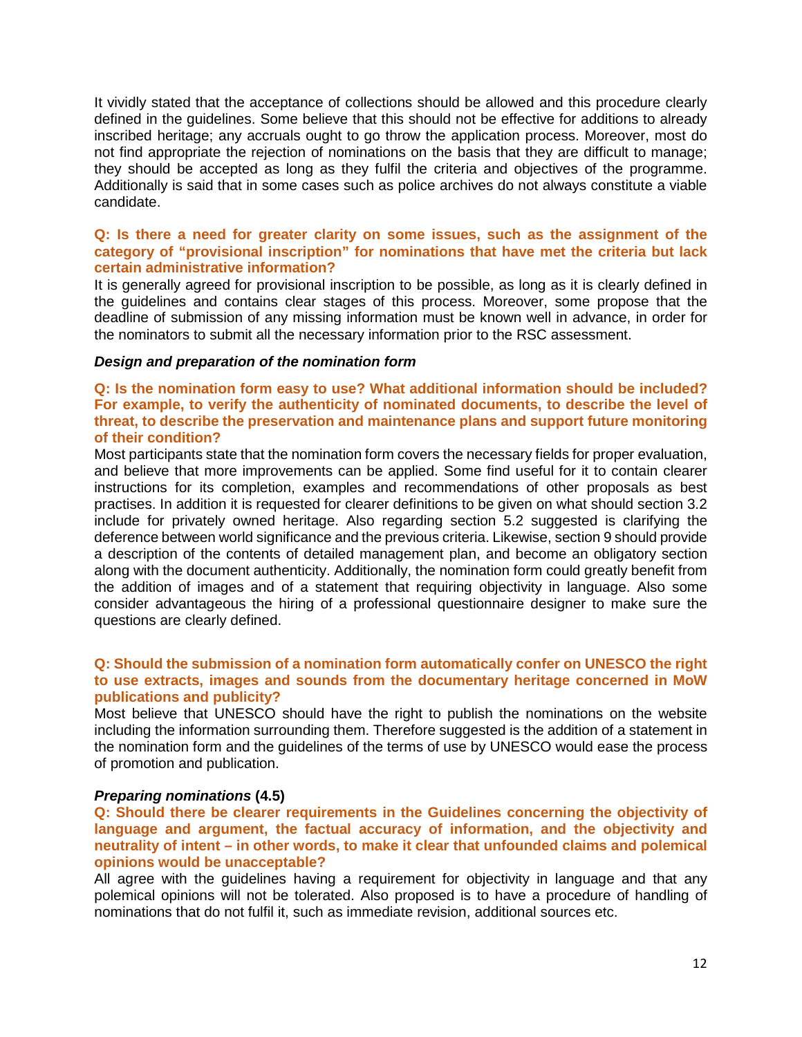It vividly stated that the acceptance of collections should be allowed and this procedure clearly defined in the guidelines. Some believe that this should not be effective for additions to already inscribed heritage; any accruals ought to go throw the application process. Moreover, most do not find appropriate the rejection of nominations on the basis that they are difficult to manage; they should be accepted as long as they fulfil the criteria and objectives of the programme. Additionally is said that in some cases such as police archives do not always constitute a viable candidate.

# **Q: Is there a need for greater clarity on some issues, such as the assignment of the category of "provisional inscription" for nominations that have met the criteria but lack certain administrative information?**

It is generally agreed for provisional inscription to be possible, as long as it is clearly defined in the guidelines and contains clear stages of this process. Moreover, some propose that the deadline of submission of any missing information must be known well in advance, in order for the nominators to submit all the necessary information prior to the RSC assessment.

# *Design and preparation of the nomination form*

## **Q: Is the nomination form easy to use? What additional information should be included? For example, to verify the authenticity of nominated documents, to describe the level of threat, to describe the preservation and maintenance plans and support future monitoring of their condition?**

Most participants state that the nomination form covers the necessary fields for proper evaluation, and believe that more improvements can be applied. Some find useful for it to contain clearer instructions for its completion, examples and recommendations of other proposals as best practises. In addition it is requested for clearer definitions to be given on what should section 3.2 include for privately owned heritage. Also regarding section 5.2 suggested is clarifying the deference between world significance and the previous criteria. Likewise, section 9 should provide a description of the contents of detailed management plan, and become an obligatory section along with the document authenticity. Additionally, the nomination form could greatly benefit from the addition of images and of a statement that requiring objectivity in language. Also some consider advantageous the hiring of a professional questionnaire designer to make sure the questions are clearly defined.

# **Q: Should the submission of a nomination form automatically confer on UNESCO the right to use extracts, images and sounds from the documentary heritage concerned in MoW publications and publicity?**

Most believe that UNESCO should have the right to publish the nominations on the website including the information surrounding them. Therefore suggested is the addition of a statement in the nomination form and the guidelines of the terms of use by UNESCO would ease the process of promotion and publication.

# *Preparing nominations* **(4.5)**

**Q: Should there be clearer requirements in the Guidelines concerning the objectivity of language and argument, the factual accuracy of information, and the objectivity and neutrality of intent – in other words, to make it clear that unfounded claims and polemical opinions would be unacceptable?**

All agree with the guidelines having a requirement for objectivity in language and that any polemical opinions will not be tolerated. Also proposed is to have a procedure of handling of nominations that do not fulfil it, such as immediate revision, additional sources etc.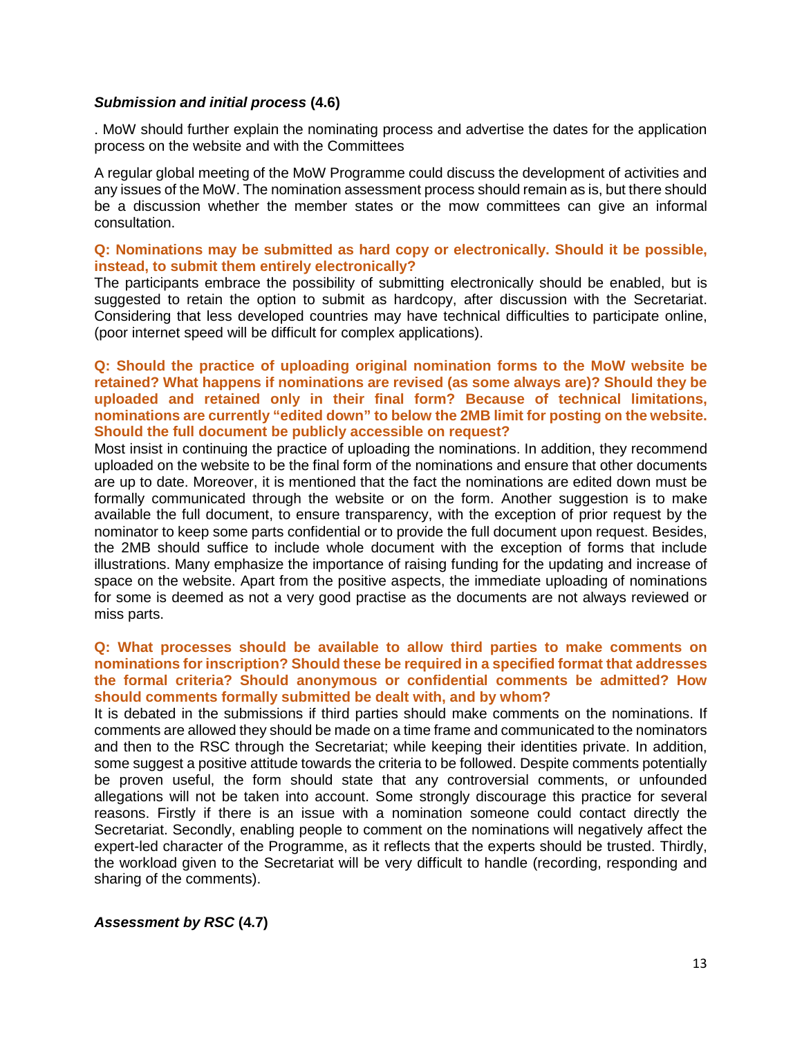#### *Submission and initial process* **(4.6)**

. MoW should further explain the nominating process and advertise the dates for the application process on the website and with the Committees

A regular global meeting of the MoW Programme could discuss the development of activities and any issues of the MoW. The nomination assessment process should remain as is, but there should be a discussion whether the member states or the mow committees can give an informal consultation.

# **Q: Nominations may be submitted as hard copy or electronically. Should it be possible, instead, to submit them entirely electronically?**

The participants embrace the possibility of submitting electronically should be enabled, but is suggested to retain the option to submit as hardcopy, after discussion with the Secretariat. Considering that less developed countries may have technical difficulties to participate online, (poor internet speed will be difficult for complex applications).

**Q: Should the practice of uploading original nomination forms to the MoW website be retained? What happens if nominations are revised (as some always are)? Should they be uploaded and retained only in their final form? Because of technical limitations, nominations are currently "edited down" to below the 2MB limit for posting on the website. Should the full document be publicly accessible on request?**

Most insist in continuing the practice of uploading the nominations. In addition, they recommend uploaded on the website to be the final form of the nominations and ensure that other documents are up to date. Moreover, it is mentioned that the fact the nominations are edited down must be formally communicated through the website or on the form. Another suggestion is to make available the full document, to ensure transparency, with the exception of prior request by the nominator to keep some parts confidential or to provide the full document upon request. Besides, the 2MB should suffice to include whole document with the exception of forms that include illustrations. Many emphasize the importance of raising funding for the updating and increase of space on the website. Apart from the positive aspects, the immediate uploading of nominations for some is deemed as not a very good practise as the documents are not always reviewed or miss parts.

## **Q: What processes should be available to allow third parties to make comments on nominations for inscription? Should these be required in a specified format that addresses the formal criteria? Should anonymous or confidential comments be admitted? How should comments formally submitted be dealt with, and by whom?**

It is debated in the submissions if third parties should make comments on the nominations. If comments are allowed they should be made on a time frame and communicated to the nominators and then to the RSC through the Secretariat; while keeping their identities private. In addition, some suggest a positive attitude towards the criteria to be followed. Despite comments potentially be proven useful, the form should state that any controversial comments, or unfounded allegations will not be taken into account. Some strongly discourage this practice for several reasons. Firstly if there is an issue with a nomination someone could contact directly the Secretariat. Secondly, enabling people to comment on the nominations will negatively affect the expert-led character of the Programme, as it reflects that the experts should be trusted. Thirdly, the workload given to the Secretariat will be very difficult to handle (recording, responding and sharing of the comments).

# *Assessment by RSC* **(4.7)**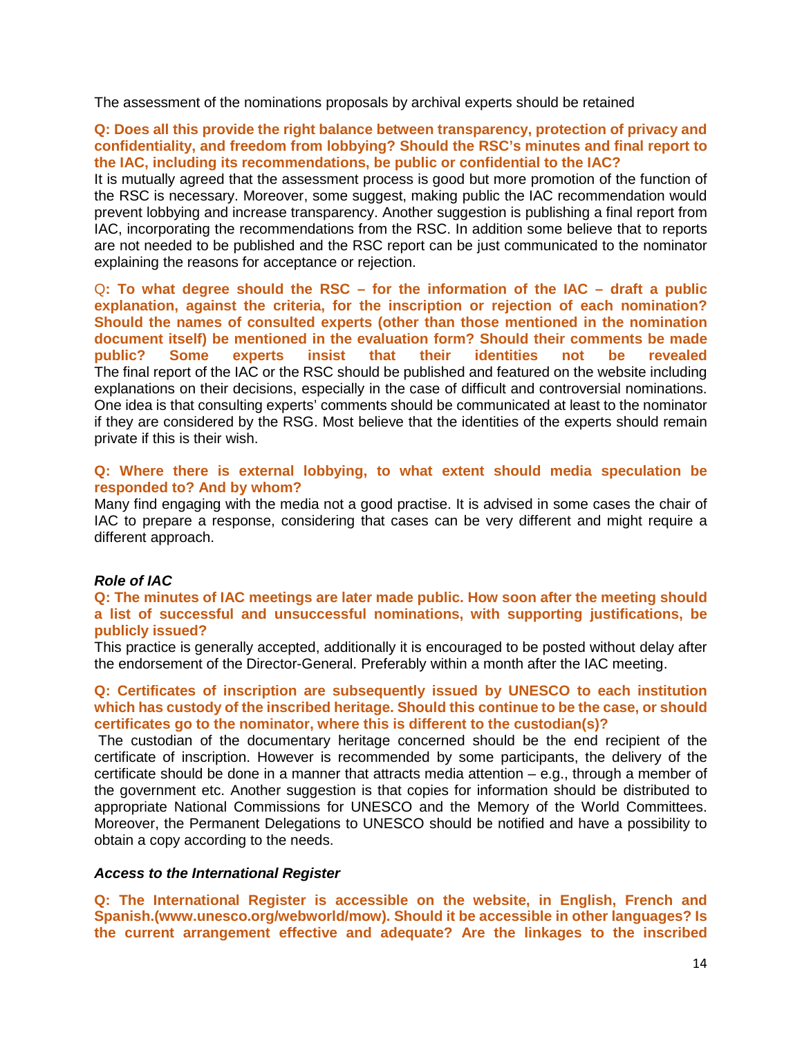The assessment of the nominations proposals by archival experts should be retained

#### **Q: Does all this provide the right balance between transparency, protection of privacy and confidentiality, and freedom from lobbying? Should the RSC's minutes and final report to the IAC, including its recommendations, be public or confidential to the IAC?**

It is mutually agreed that the assessment process is good but more promotion of the function of the RSC is necessary. Moreover, some suggest, making public the IAC recommendation would prevent lobbying and increase transparency. Another suggestion is publishing a final report from IAC, incorporating the recommendations from the RSC. In addition some believe that to reports are not needed to be published and the RSC report can be just communicated to the nominator explaining the reasons for acceptance or rejection.

Q**: To what degree should the RSC – for the information of the IAC – draft a public explanation, against the criteria, for the inscription or rejection of each nomination? Should the names of consulted experts (other than those mentioned in the nomination document itself) be mentioned in the evaluation form? Should their comments be made public? Some experts insist that their identities not be revealed** The final report of the IAC or the RSC should be published and featured on the website including explanations on their decisions, especially in the case of difficult and controversial nominations. One idea is that consulting experts' comments should be communicated at least to the nominator if they are considered by the RSG. Most believe that the identities of the experts should remain private if this is their wish.

#### **Q: Where there is external lobbying, to what extent should media speculation be responded to? And by whom?**

Many find engaging with the media not a good practise. It is advised in some cases the chair of IAC to prepare a response, considering that cases can be very different and might require a different approach.

#### *Role of IAC*

#### **Q: The minutes of IAC meetings are later made public. How soon after the meeting should a list of successful and unsuccessful nominations, with supporting justifications, be publicly issued?**

This practice is generally accepted, additionally it is encouraged to be posted without delay after the endorsement of the Director-General. Preferably within a month after the IAC meeting.

#### **Q: Certificates of inscription are subsequently issued by UNESCO to each institution which has custody of the inscribed heritage. Should this continue to be the case, or should certificates go to the nominator, where this is different to the custodian(s)?**

The custodian of the documentary heritage concerned should be the end recipient of the certificate of inscription. However is recommended by some participants, the delivery of the certificate should be done in a manner that attracts media attention – e.g., through a member of the government etc. Another suggestion is that copies for information should be distributed to appropriate National Commissions for UNESCO and the Memory of the World Committees. Moreover, the Permanent Delegations to UNESCO should be notified and have a possibility to obtain a copy according to the needs.

#### *Access to the International Register*

**Q: The International Register is accessible on the website, in English, French and Spanish.(www.unesco.org/webworld/mow). Should it be accessible in other languages? Is the current arrangement effective and adequate? Are the linkages to the inscribed**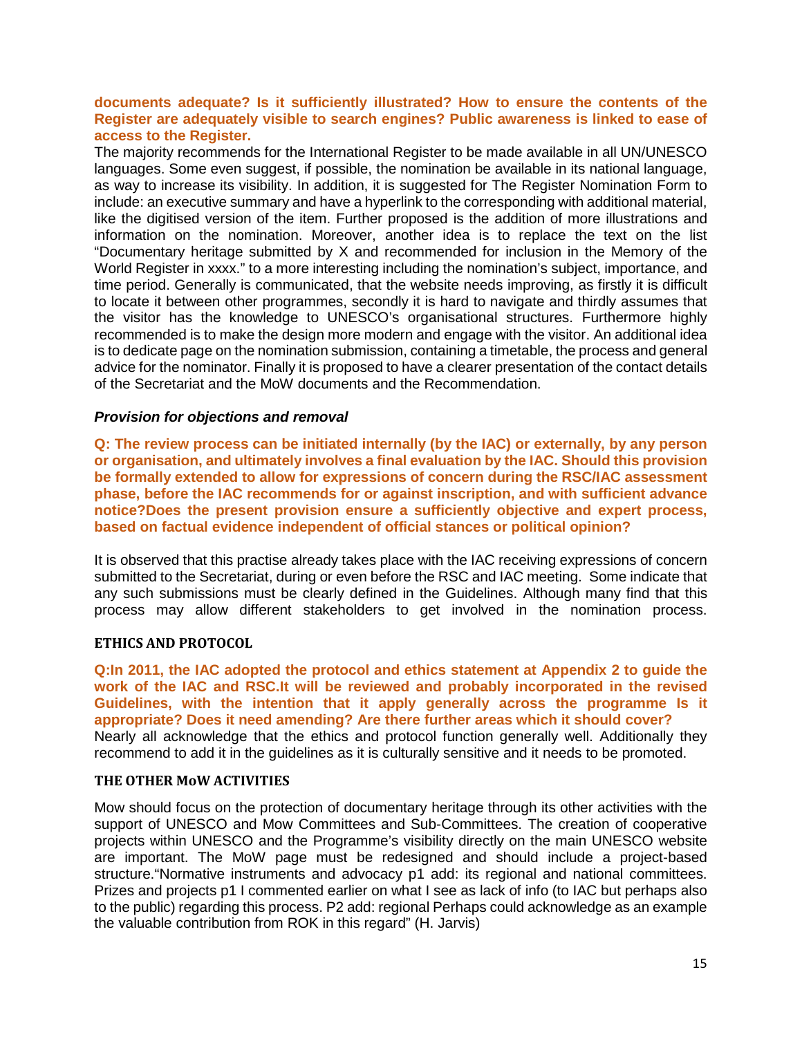# **documents adequate? Is it sufficiently illustrated? How to ensure the contents of the Register are adequately visible to search engines? Public awareness is linked to ease of access to the Register.**

The majority recommends for the International Register to be made available in all UN/UNESCO languages. Some even suggest, if possible, the nomination be available in its national language, as way to increase its visibility. In addition, it is suggested for The Register Nomination Form to include: an executive summary and have a hyperlink to the corresponding with additional material, like the digitised version of the item. Further proposed is the addition of more illustrations and information on the nomination. Moreover, another idea is to replace the text on the list "Documentary heritage submitted by X and recommended for inclusion in the Memory of the World Register in xxxx." to a more interesting including the nomination's subject, importance, and time period. Generally is communicated, that the website needs improving, as firstly it is difficult to locate it between other programmes, secondly it is hard to navigate and thirdly assumes that the visitor has the knowledge to UNESCO's organisational structures. Furthermore highly recommended is to make the design more modern and engage with the visitor. An additional idea is to dedicate page on the nomination submission, containing a timetable, the process and general advice for the nominator. Finally it is proposed to have a clearer presentation of the contact details of the Secretariat and the MoW documents and the Recommendation.

# *Provision for objections and removal*

**Q: The review process can be initiated internally (by the IAC) or externally, by any person or organisation, and ultimately involves a final evaluation by the IAC. Should this provision be formally extended to allow for expressions of concern during the RSC/IAC assessment phase, before the IAC recommends for or against inscription, and with sufficient advance notice?Does the present provision ensure a sufficiently objective and expert process, based on factual evidence independent of official stances or political opinion?**

It is observed that this practise already takes place with the IAC receiving expressions of concern submitted to the Secretariat, during or even before the RSC and IAC meeting. Some indicate that any such submissions must be clearly defined in the Guidelines. Although many find that this process may allow different stakeholders to get involved in the nomination process.

# **ETHICS AND PROTOCOL**

**Q:In 2011, the IAC adopted the protocol and ethics statement at Appendix 2 to guide the work of the IAC and RSC.It will be reviewed and probably incorporated in the revised Guidelines, with the intention that it apply generally across the programme Is it appropriate? Does it need amending? Are there further areas which it should cover?** Nearly all acknowledge that the ethics and protocol function generally well. Additionally they recommend to add it in the guidelines as it is culturally sensitive and it needs to be promoted.

# **THE OTHER MoW ACTIVITIES**

Mow should focus on the protection of documentary heritage through its other activities with the support of UNESCO and Mow Committees and Sub-Committees. The creation of cooperative projects within UNESCO and the Programme's visibility directly on the main UNESCO website are important. The MoW page must be redesigned and should include a project-based structure."Normative instruments and advocacy p1 add: its regional and national committees. Prizes and projects p1 I commented earlier on what I see as lack of info (to IAC but perhaps also to the public) regarding this process. P2 add: regional Perhaps could acknowledge as an example the valuable contribution from ROK in this regard" (H. Jarvis)